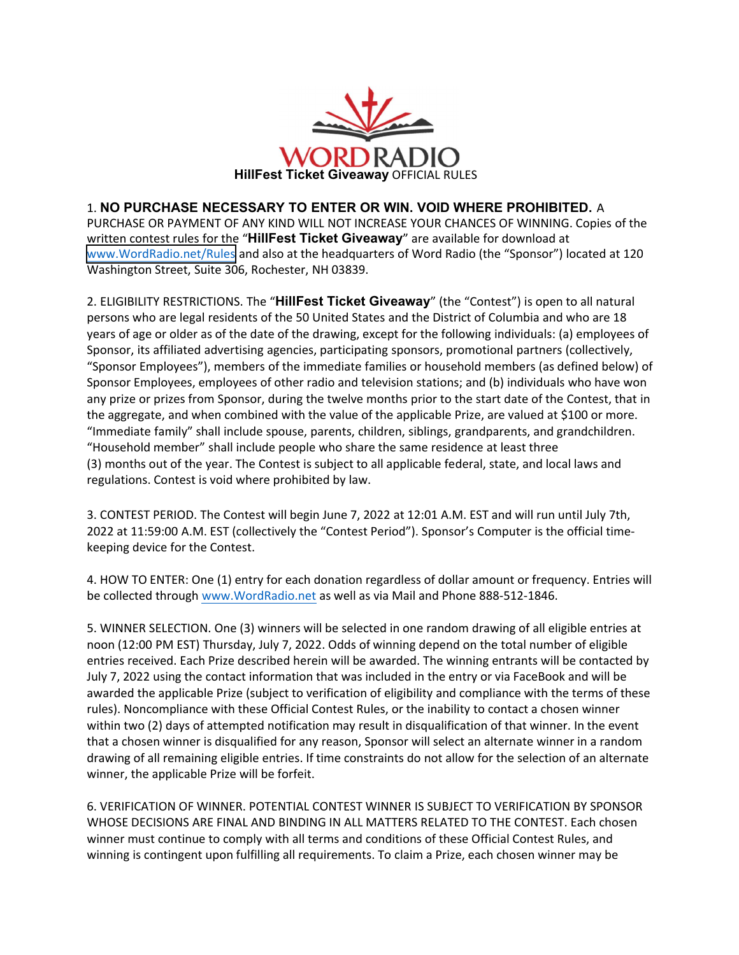

1. NO PURCHASE NECESSARY TO ENTER OR WIN. VOID WHERE PROHIBITED. A PURCHASE OR PAYMENT OF ANY KIND WILL NOT INCREASE YOUR CHANCES OF WINNING. Copies of the written contest rules for the "**HillFest Ticket** Giveaway" are available for download at [www.WordRadio.net/Rules](https://www.wordradio.net/rules) and also at the headquarters of Word Radio (the "Sponsor") located at 120 Washington Street, Suite 306, Rochester, NH 03839.

2. ELIGIBILITY RESTRICTIONS. The "**HillFest Ticket Giveaway**" (the "Contest") is open to all natural persons who are legal residents of the 50 United States and the District of Columbia and who are 18 years of age or older as of the date of the drawing, except for the following individuals: (a) employees of Sponsor, its affiliated advertising agencies, participating sponsors, promotional partners (collectively, "Sponsor Employees"), members of the immediate families or household members (as defined below) of Sponsor Employees, employees of other radio and television stations; and (b) individuals who have won any prize or prizes from Sponsor, during the twelve months prior to the start date of the Contest, that in the aggregate, and when combined with the value of the applicable Prize, are valued at \$100 or more. "Immediate family" shall include spouse, parents, children, siblings, grandparents, and grandchildren. "Household member" shall include people who share the same residence at least three (3) months out of the year. The Contest is subject to all applicable federal, state, and local laws and regulations. Contest is void where prohibited by law.

3. CONTEST PERIOD. The Contest will begin June 7, 2022 at 12:01 A.M. EST and will run until July 7th, 2022 at 11:59:00 A.M. EST (collectively the "Contest Period"). Sponsor's Computer is the official time‐ keeping device for the Contest.

4. HOW TO ENTER: One (1) entry for each donation regardless of dollar amount or frequency. Entries will be collected through www.WordRadio.net as well as via Mail and Phone 888‐512‐1846.

5. WINNER SELECTION. One (3) winners will be selected in one random drawing of all eligible entries at noon (12:00 PM EST) Thursday, July 7, 2022. Odds of winning depend on the total number of eligible entries received. Each Prize described herein will be awarded. The winning entrants will be contacted by July 7, 2022 using the contact information that was included in the entry or via FaceBook and will be awarded the applicable Prize (subject to verification of eligibility and compliance with the terms of these rules). Noncompliance with these Official Contest Rules, or the inability to contact a chosen winner within two (2) days of attempted notification may result in disqualification of that winner. In the event that a chosen winner is disqualified for any reason, Sponsor will select an alternate winner in a random drawing of all remaining eligible entries. If time constraints do not allow for the selection of an alternate winner, the applicable Prize will be forfeit.

6. VERIFICATION OF WINNER. POTENTIAL CONTEST WINNER IS SUBJECT TO VERIFICATION BY SPONSOR WHOSE DECISIONS ARE FINAL AND BINDING IN ALL MATTERS RELATED TO THE CONTEST. Each chosen winner must continue to comply with all terms and conditions of these Official Contest Rules, and winning is contingent upon fulfilling all requirements. To claim a Prize, each chosen winner may be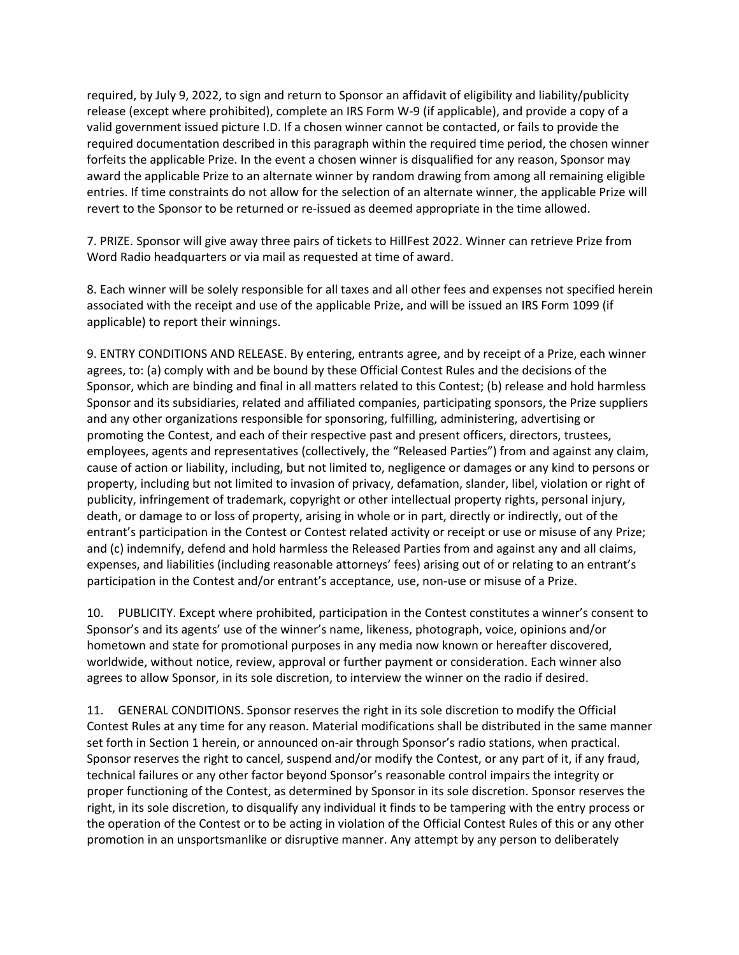required, by July 9, 2022, to sign and return to Sponsor an affidavit of eligibility and liability/publicity release (except where prohibited), complete an IRS Form W‐9 (if applicable), and provide a copy of a valid government issued picture I.D. If a chosen winner cannot be contacted, or fails to provide the required documentation described in this paragraph within the required time period, the chosen winner forfeits the applicable Prize. In the event a chosen winner is disqualified for any reason, Sponsor may award the applicable Prize to an alternate winner by random drawing from among all remaining eligible entries. If time constraints do not allow for the selection of an alternate winner, the applicable Prize will revert to the Sponsor to be returned or re‐issued as deemed appropriate in the time allowed.

7. PRIZE. Sponsor will give away three pairs of tickets to HillFest 2022. Winner can retrieve Prize from Word Radio headquarters or via mail as requested at time of award.

8. Each winner will be solely responsible for all taxes and all other fees and expenses not specified herein associated with the receipt and use of the applicable Prize, and will be issued an IRS Form 1099 (if applicable) to report their winnings.

9. ENTRY CONDITIONS AND RELEASE. By entering, entrants agree, and by receipt of a Prize, each winner agrees, to: (a) comply with and be bound by these Official Contest Rules and the decisions of the Sponsor, which are binding and final in all matters related to this Contest; (b) release and hold harmless Sponsor and its subsidiaries, related and affiliated companies, participating sponsors, the Prize suppliers and any other organizations responsible for sponsoring, fulfilling, administering, advertising or promoting the Contest, and each of their respective past and present officers, directors, trustees, employees, agents and representatives (collectively, the "Released Parties") from and against any claim, cause of action or liability, including, but not limited to, negligence or damages or any kind to persons or property, including but not limited to invasion of privacy, defamation, slander, libel, violation or right of publicity, infringement of trademark, copyright or other intellectual property rights, personal injury, death, or damage to or loss of property, arising in whole or in part, directly or indirectly, out of the entrant's participation in the Contest or Contest related activity or receipt or use or misuse of any Prize; and (c) indemnify, defend and hold harmless the Released Parties from and against any and all claims, expenses, and liabilities (including reasonable attorneys' fees) arising out of or relating to an entrant's participation in the Contest and/or entrant's acceptance, use, non-use or misuse of a Prize.

10. PUBLICITY. Except where prohibited, participation in the Contest constitutes a winner's consent to Sponsor's and its agents' use of the winner's name, likeness, photograph, voice, opinions and/or hometown and state for promotional purposes in any media now known or hereafter discovered, worldwide, without notice, review, approval or further payment or consideration. Each winner also agrees to allow Sponsor, in its sole discretion, to interview the winner on the radio if desired.

11. GENERAL CONDITIONS. Sponsor reserves the right in its sole discretion to modify the Official Contest Rules at any time for any reason. Material modifications shall be distributed in the same manner set forth in Section 1 herein, or announced on-air through Sponsor's radio stations, when practical. Sponsor reserves the right to cancel, suspend and/or modify the Contest, or any part of it, if any fraud, technical failures or any other factor beyond Sponsor's reasonable control impairs the integrity or proper functioning of the Contest, as determined by Sponsor in its sole discretion. Sponsor reserves the right, in its sole discretion, to disqualify any individual it finds to be tampering with the entry process or the operation of the Contest or to be acting in violation of the Official Contest Rules of this or any other promotion in an unsportsmanlike or disruptive manner. Any attempt by any person to deliberately